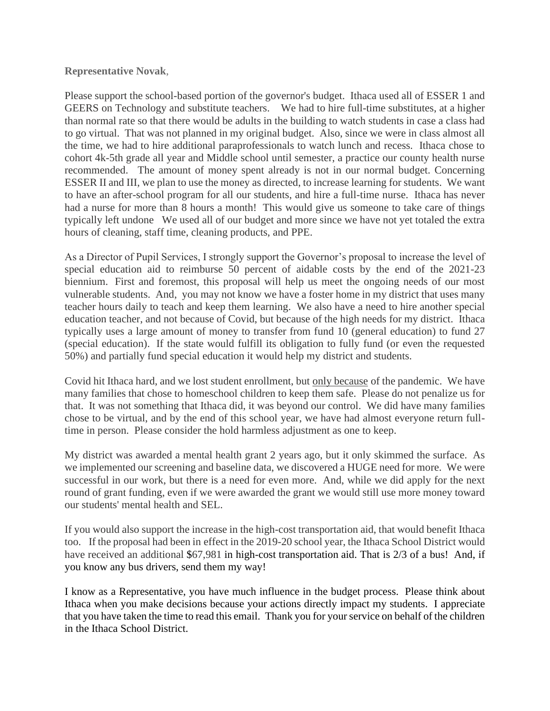## **Representative Novak**,

Please support the school-based portion of the governor's budget. Ithaca used all of ESSER 1 and GEERS on Technology and substitute teachers. We had to hire full-time substitutes, at a higher than normal rate so that there would be adults in the building to watch students in case a class had to go virtual. That was not planned in my original budget. Also, since we were in class almost all the time, we had to hire additional paraprofessionals to watch lunch and recess. Ithaca chose to cohort 4k-5th grade all year and Middle school until semester, a practice our county health nurse recommended. The amount of money spent already is not in our normal budget. Concerning ESSER II and III, we plan to use the money as directed, to increase learning for students. We want to have an after-school program for all our students, and hire a full-time nurse. Ithaca has never had a nurse for more than 8 hours a month! This would give us someone to take care of things typically left undone We used all of our budget and more since we have not yet totaled the extra hours of cleaning, staff time, cleaning products, and PPE.

As a Director of Pupil Services, I strongly support the Governor's proposal to increase the level of special education aid to reimburse 50 percent of aidable costs by the end of the 2021-23 biennium. First and foremost, this proposal will help us meet the ongoing needs of our most vulnerable students. And, you may not know we have a foster home in my district that uses many teacher hours daily to teach and keep them learning. We also have a need to hire another special education teacher, and not because of Covid, but because of the high needs for my district. Ithaca typically uses a large amount of money to transfer from fund 10 (general education) to fund 27 (special education). If the state would fulfill its obligation to fully fund (or even the requested 50%) and partially fund special education it would help my district and students.

Covid hit Ithaca hard, and we lost student enrollment, but only because of the pandemic. We have many families that chose to homeschool children to keep them safe. Please do not penalize us for that. It was not something that Ithaca did, it was beyond our control. We did have many families chose to be virtual, and by the end of this school year, we have had almost everyone return fulltime in person. Please consider the hold harmless adjustment as one to keep.

My district was awarded a mental health grant 2 years ago, but it only skimmed the surface. As we implemented our screening and baseline data, we discovered a HUGE need for more. We were successful in our work, but there is a need for even more. And, while we did apply for the next round of grant funding, even if we were awarded the grant we would still use more money toward our students' mental health and SEL.

If you would also support the increase in the high-cost transportation aid, that would benefit Ithaca too. If the proposal had been in effect in the 2019-20 school year, the Ithaca School District would have received an additional \$67,981 in high-cost transportation aid. That is 2/3 of a bus! And, if you know any bus drivers, send them my way!

I know as a Representative, you have much influence in the budget process. Please think about Ithaca when you make decisions because your actions directly impact my students. I appreciate that you have taken the time to read this email. Thank you for your service on behalf of the children in the Ithaca School District.